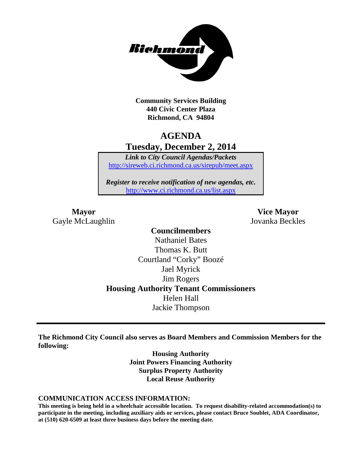

**Community Services Building 440 Civic Center Plaza Richmond, CA 94804**

# **AGENDA Tuesday, December 2, 2014**

*Link to City Council Agendas/Packets* <http://sireweb.ci.richmond.ca.us/sirepub/meet.aspx>

*Register to receive notification of new agendas, etc.* <http://www.ci.richmond.ca.us/list.aspx>

Gayle McLaughlin Jovanka Beckles

**Mayor Vice Mayor**

**Councilmembers** Nathaniel Bates Thomas K. Butt Courtland "Corky" Boozé Jael Myrick Jim Rogers **Housing Authority Tenant Commissioners** Helen Hall Jackie Thompson

**The Richmond City Council also serves as Board Members and Commission Members for the following:**

> **Housing Authority Joint Powers Financing Authority Surplus Property Authority Local Reuse Authority**

#### **COMMUNICATION ACCESS INFORMATION:**

**This meeting is being held in a wheelchair accessible location. To request disability-related accommodation(s) to participate in the meeting, including auxiliary aids or services, please contact Bruce Soublet, ADA Coordinator, at (510) 620-6509 at least three business days before the meeting date.**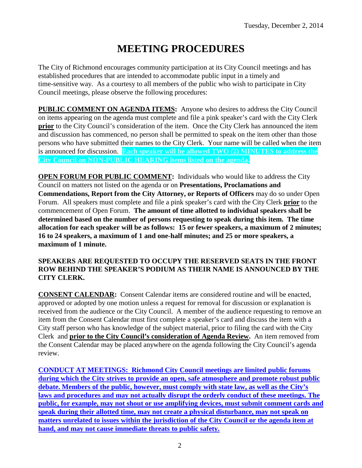# **MEETING PROCEDURES**

The City of Richmond encourages community participation at its City Council meetings and has established procedures that are intended to accommodate public input in a timely and time-sensitive way. As a courtesy to all members of the public who wish to participate in City Council meetings, please observe the following procedures:

**PUBLIC COMMENT ON AGENDA ITEMS:** Anyone who desires to address the City Council on items appearing on the agenda must complete and file a pink speaker's card with the City Clerk **prior** to the City Council's consideration of the item. Once the City Clerk has announced the item and discussion has commenced, no person shall be permitted to speak on the item other than those persons who have submitted their names to the City Clerk. Your name will be called when the item is announced for discussion. **Each speaker will be allowed TWO (2) MINUTES to address the City Council on NON-PUBLIC HEARING items listed on the agenda.**

**OPEN FORUM FOR PUBLIC COMMENT:** Individuals who would like to address the City Council on matters not listed on the agenda or on **Presentations, Proclamations and Commendations, Report from the City Attorney, or Reports of Officers** may do so under Open Forum. All speakers must complete and file a pink speaker's card with the City Clerk **prior** to the commencement of Open Forum. **The amount of time allotted to individual speakers shall be determined based on the number of persons requesting to speak during this item. The time allocation for each speaker will be as follows: 15 or fewer speakers, a maximum of 2 minutes; 16 to 24 speakers, a maximum of 1 and one-half minutes; and 25 or more speakers, a maximum of 1 minute.**

#### **SPEAKERS ARE REQUESTED TO OCCUPY THE RESERVED SEATS IN THE FRONT ROW BEHIND THE SPEAKER'S PODIUM AS THEIR NAME IS ANNOUNCED BY THE CITY CLERK.**

**CONSENT CALENDAR:** Consent Calendar items are considered routine and will be enacted, approved or adopted by one motion unless a request for removal for discussion or explanation is received from the audience or the City Council. A member of the audience requesting to remove an item from the Consent Calendar must first complete a speaker's card and discuss the item with a City staff person who has knowledge of the subject material, prior to filing the card with the City Clerk and **prior to the City Council's consideration of Agenda Review.** An item removed from the Consent Calendar may be placed anywhere on the agenda following the City Council's agenda review.

**CONDUCT AT MEETINGS: Richmond City Council meetings are limited public forums during which the City strives to provide an open, safe atmosphere and promote robust public debate. Members of the public, however, must comply with state law, as well as the City's laws and procedures and may not actually disrupt the orderly conduct of these meetings. The public, for example, may not shout or use amplifying devices, must submit comment cards and speak during their allotted time, may not create a physical disturbance, may not speak on matters unrelated to issues within the jurisdiction of the City Council or the agenda item at hand, and may not cause immediate threats to public safety.**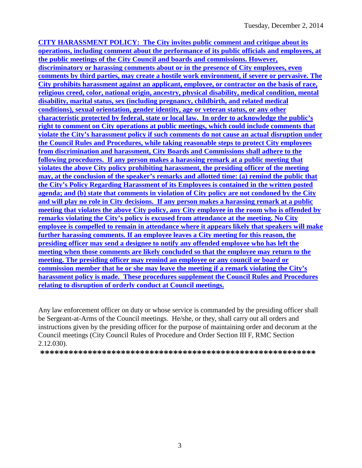**CITY HARASSMENT POLICY: The City invites public comment and critique about its operations, including comment about the performance of its public officials and employees, at the public meetings of the City Council and boards and commissions. However, discriminatory or harassing comments about or in the presence of City employees, even comments by third parties, may create a hostile work environment, if severe or pervasive. The City prohibits harassment against an applicant, employee, or contractor on the basis of race, religious creed, color, national origin, ancestry, physical disability, medical condition, mental disability, marital status, sex (including pregnancy, childbirth, and related medical conditions), sexual orientation, gender identity, age or veteran status, or any other characteristic protected by federal, state or local law. In order to acknowledge the public's right to comment on City operations at public meetings, which could include comments that violate the City's harassment policy if such comments do not cause an actual disruption under the Council Rules and Procedures, while taking reasonable steps to protect City employees from discrimination and harassment, City Boards and Commissions shall adhere to the following procedures. If any person makes a harassing remark at a public meeting that violates the above City policy prohibiting harassment, the presiding officer of the meeting may, at the conclusion of the speaker's remarks and allotted time: (a) remind the public that the City's Policy Regarding Harassment of its Employees is contained in the written posted agenda; and (b) state that comments in violation of City policy are not condoned by the City and will play no role in City decisions. If any person makes a harassing remark at a public meeting that violates the above City policy, any City employee in the room who is offended by remarks violating the City's policy is excused from attendance at the meeting. No City employee is compelled to remain in attendance where it appears likely that speakers will make further harassing comments. If an employee leaves a City meeting for this reason, the presiding officer may send a designee to notify any offended employee who has left the meeting when those comments are likely concluded so that the employee may return to the meeting. The presiding officer may remind an employee or any council or board or commission member that he or she may leave the meeting if a remark violating the City's harassment policy is made. These procedures supplement the Council Rules and Procedures relating to disruption of orderly conduct at Council meetings.**

Any law enforcement officer on duty or whose service is commanded by the presiding officer shall be Sergeant-at-Arms of the Council meetings. He/she, or they, shall carry out all orders and instructions given by the presiding officer for the purpose of maintaining order and decorum at the Council meetings (City Council Rules of Procedure and Order Section III F, RMC Section 2.12.030).

**\*\*\*\*\*\*\*\*\*\*\*\*\*\*\*\*\*\*\*\*\*\*\*\*\*\*\*\*\*\*\*\*\*\*\*\*\*\*\*\*\*\*\*\*\*\*\*\*\*\*\*\*\*\*\*\*\*\***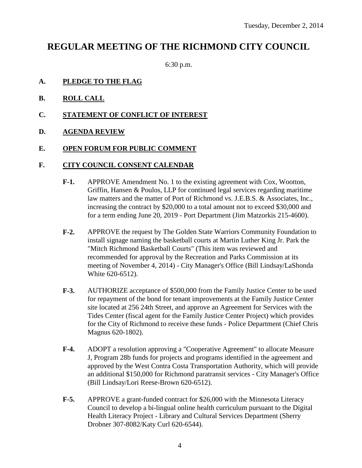# **REGULAR MEETING OF THE RICHMOND CITY COUNCIL**

6:30 p.m.

#### **A. PLEDGE TO THE FLAG**

- **B. ROLL CALL**
- **C. STATEMENT OF CONFLICT OF INTEREST**

#### **D. AGENDA REVIEW**

#### **E. OPEN FORUM FOR PUBLIC COMMENT**

#### **F. CITY COUNCIL CONSENT CALENDAR**

- **F-1.** APPROVE Amendment No. 1 to the existing agreement with Cox, Wootton, Griffin, Hansen & Poulos, LLP for continued legal services regarding maritime law matters and the matter of Port of Richmond vs. J.E.B.S. & Associates, Inc., increasing the contract by \$20,000 to a total amount not to exceed \$30,000 and for a term ending June 20, 2019 - Port Department (Jim Matzorkis 215-4600).
- **F-2.** APPROVE the request by The Golden State Warriors Community Foundation to install signage naming the basketball courts at Martin Luther King Jr. Park the "Mitch Richmond Basketball Courts" (This item was reviewed and recommended for approval by the Recreation and Parks Commission at its meeting of November 4, 2014) - City Manager's Office (Bill Lindsay/LaShonda White 620-6512).
- **F-3.** AUTHORIZE acceptance of \$500,000 from the Family Justice Center to be used for repayment of the bond for tenant improvements at the Family Justice Center site located at 256 24th Street, and approve an Agreement for Services with the Tides Center (fiscal agent for the Family Justice Center Project) which provides for the City of Richmond to receive these funds - Police Department (Chief Chris Magnus 620-1802).
- **F-4.** ADOPT a resolution approving a "Cooperative Agreement" to allocate Measure J, Program 28b funds for projects and programs identified in the agreement and approved by the West Contra Costa Transportation Authority, which will provide an additional \$150,000 for Richmond paratransit services - City Manager's Office (Bill Lindsay/Lori Reese-Brown 620-6512).
- **F-5.** APPROVE a grant-funded contract for \$26,000 with the Minnesota Literacy Council to develop a bi-lingual online health curriculum pursuant to the Digital Health Literacy Project - Library and Cultural Services Department (Sherry Drobner 307-8082/Katy Curl 620-6544).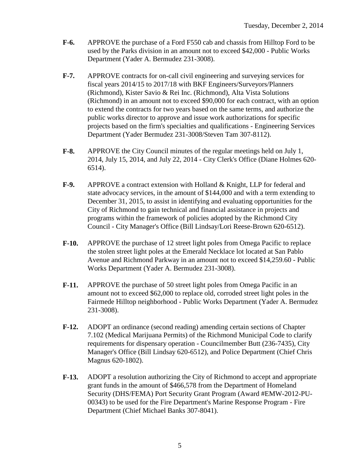- **F-6.** APPROVE the purchase of a Ford F550 cab and chassis from Hilltop Ford to be used by the Parks division in an amount not to exceed \$42,000 - Public Works Department (Yader A. Bermudez 231-3008).
- **F-7.** APPROVE contracts for on-call civil engineering and surveying services for fiscal years 2014/15 to 2017/18 with BKF Engineers/Surveyors/Planners (Richmond), Kister Savio & Rei Inc. (Richmond), Alta Vista Solutions (Richmond) in an amount not to exceed \$90,000 for each contract, with an option to extend the contracts for two years based on the same terms, and authorize the public works director to approve and issue work authorizations for specific projects based on the firm's specialties and qualifications - Engineering Services Department (Yader Bermudez 231-3008/Steven Tam 307-8112).
- **F-8.** APPROVE the City Council minutes of the regular meetings held on July 1, 2014, July 15, 2014, and July 22, 2014 - City Clerk's Office (Diane Holmes 620- 6514).
- **F-9.** APPROVE a contract extension with Holland & Knight, LLP for federal and state advocacy services, in the amount of \$144,000 and with a term extending to December 31, 2015, to assist in identifying and evaluating opportunities for the City of Richmond to gain technical and financial assistance in projects and programs within the framework of policies adopted by the Richmond City Council - City Manager's Office (Bill Lindsay/Lori Reese-Brown 620-6512).
- **F-10.** APPROVE the purchase of 12 street light poles from Omega Pacific to replace the stolen street light poles at the Emerald Necklace lot located at San Pablo Avenue and Richmond Parkway in an amount not to exceed \$14,259.60 - Public Works Department (Yader A. Bermudez 231-3008).
- **F-11.** APPROVE the purchase of 50 street light poles from Omega Pacific in an amount not to exceed \$62,000 to replace old, corroded street light poles in the Fairmede Hilltop neighborhood - Public Works Department (Yader A. Bermudez 231-3008).
- **F-12.** ADOPT an ordinance (second reading) amending certain sections of Chapter 7.102 (Medical Marijuana Permits) of the Richmond Municipal Code to clarify requirements for dispensary operation - Councilmember Butt (236-7435), City Manager's Office (Bill Lindsay 620-6512), and Police Department (Chief Chris Magnus 620-1802).
- **F-13.** ADOPT a resolution authorizing the City of Richmond to accept and appropriate grant funds in the amount of \$466,578 from the Department of Homeland Security (DHS/FEMA) Port Security Grant Program (Award #EMW-2012-PU-00343) to be used for the Fire Department's Marine Response Program - Fire Department (Chief Michael Banks 307-8041).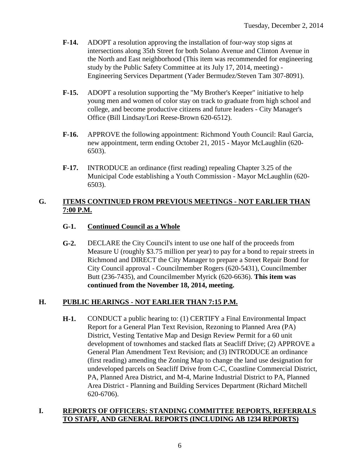- **F-14.** ADOPT a resolution approving the installation of four-way stop signs at intersections along 35th Street for both Solano Avenue and Clinton Avenue in the North and East neighborhood (This item was recommended for engineering study by the Public Safety Committee at its July 17, 2014, meeting) - Engineering Services Department (Yader Bermudez/Steven Tam 307-8091).
- **F-15.** ADOPT a resolution supporting the "My Brother's Keeper" initiative to help young men and women of color stay on track to graduate from high school and college, and become productive citizens and future leaders - City Manager's Office (Bill Lindsay/Lori Reese-Brown 620-6512).
- **F-16.** APPROVE the following appointment: Richmond Youth Council: Raul Garcia, new appointment, term ending October 21, 2015 - Mayor McLaughlin (620- 6503).
- **F-17.** INTRODUCE an ordinance (first reading) repealing Chapter 3.25 of the Municipal Code establishing a Youth Commission - Mayor McLaughlin (620- 6503).

## **G. ITEMS CONTINUED FROM PREVIOUS MEETINGS - NOT EARLIER THAN 7:00 P.M.**

## **G-1. Continued Council as a Whole**

**G-2.** DECLARE the City Council's intent to use one half of the proceeds from Measure U (roughly \$3.75 million per year) to pay for a bond to repair streets in Richmond and DIRECT the City Manager to prepare a Street Repair Bond for City Council approval - Councilmember Rogers (620-5431), Councilmember Butt (236-7435), and Councilmember Myrick (620-6636). **This item was continued from the November 18, 2014, meeting.**

## **H. PUBLIC HEARINGS - NOT EARLIER THAN 7:15 P.M.**

**H-1.** CONDUCT a public hearing to: (1) CERTIFY a Final Environmental Impact Report for a General Plan Text Revision, Rezoning to Planned Area (PA) District, Vesting Tentative Map and Design Review Permit for a 60 unit development of townhomes and stacked flats at Seacliff Drive; (2) APPROVE a General Plan Amendment Text Revision; and (3) INTRODUCE an ordinance (first reading) amending the Zoning Map to change the land use designation for undeveloped parcels on Seacliff Drive from C-C, Coastline Commercial District, PA, Planned Area District, and M-4, Marine Industrial District to PA, Planned Area District - Planning and Building Services Department (Richard Mitchell 620-6706).

#### **I. REPORTS OF OFFICERS: STANDING COMMITTEE REPORTS, REFERRALS TO STAFF, AND GENERAL REPORTS (INCLUDING AB 1234 REPORTS)**